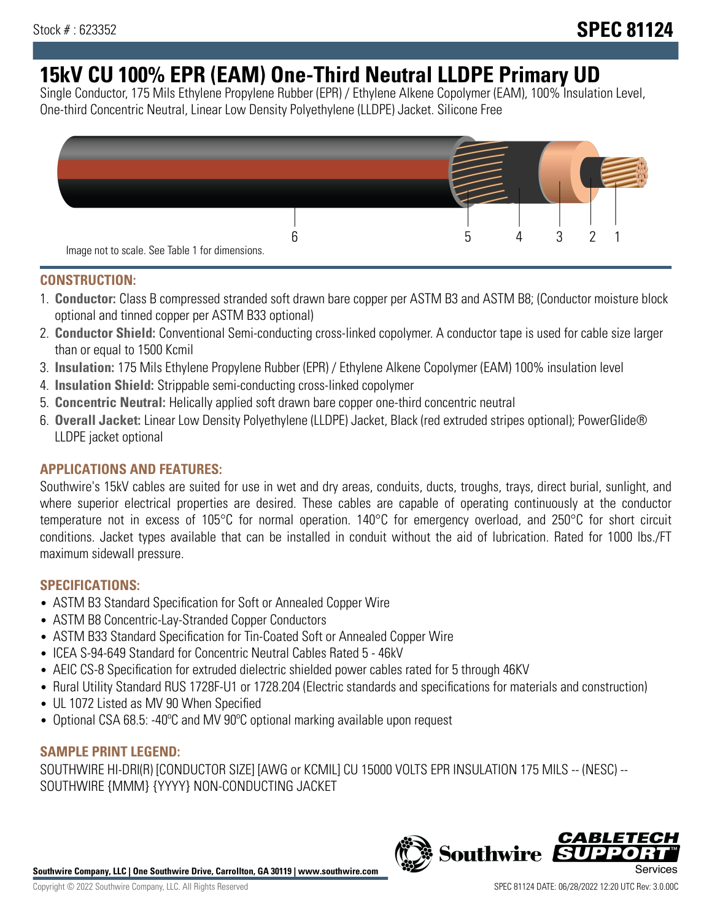# **15kV CU 100% EPR (EAM) One-Third Neutral LLDPE Primary UD**

Single Conductor, 175 Mils Ethylene Propylene Rubber (EPR) / Ethylene Alkene Copolymer (EAM), 100% Insulation Level, One-third Concentric Neutral, Linear Low Density Polyethylene (LLDPE) Jacket. Silicone Free



## **CONSTRUCTION:**

- 1. **Conductor:** Class B compressed stranded soft drawn bare copper per ASTM B3 and ASTM B8; (Conductor moisture block optional and tinned copper per ASTM B33 optional)
- 2. **Conductor Shield:** Conventional Semi-conducting cross-linked copolymer. A conductor tape is used for cable size larger than or equal to 1500 Kcmil
- 3. **Insulation:** 175 Mils Ethylene Propylene Rubber (EPR) / Ethylene Alkene Copolymer (EAM) 100% insulation level
- 4. **Insulation Shield:** Strippable semi-conducting cross-linked copolymer
- 5. **Concentric Neutral:** Helically applied soft drawn bare copper one-third concentric neutral
- 6. **Overall Jacket:** Linear Low Density Polyethylene (LLDPE) Jacket, Black (red extruded stripes optional); PowerGlide® LLDPE jacket optional

## **APPLICATIONS AND FEATURES:**

Southwire's 15kV cables are suited for use in wet and dry areas, conduits, ducts, troughs, trays, direct burial, sunlight, and where superior electrical properties are desired. These cables are capable of operating continuously at the conductor temperature not in excess of 105°C for normal operation. 140°C for emergency overload, and 250°C for short circuit conditions. Jacket types available that can be installed in conduit without the aid of lubrication. Rated for 1000 lbs./FT maximum sidewall pressure.

## **SPECIFICATIONS:**

- ASTM B3 Standard Specification for Soft or Annealed Copper Wire
- ASTM B8 Concentric-Lay-Stranded Copper Conductors
- ASTM B33 Standard Specification for Tin-Coated Soft or Annealed Copper Wire
- ICEA S-94-649 Standard for Concentric Neutral Cables Rated 5 46kV
- AEIC CS-8 Specification for extruded dielectric shielded power cables rated for 5 through 46KV
- Rural Utility Standard RUS 1728F-U1 or 1728.204 (Electric standards and specifications for materials and construction)
- UL 1072 Listed as MV 90 When Specified
- Optional CSA 68.5: -40°C and MV 90°C optional marking available upon request

# **SAMPLE PRINT LEGEND:**

SOUTHWIRE HI-DRI(R) [CONDUCTOR SIZE] [AWG or KCMIL] CU 15000 VOLTS EPR INSULATION 175 MILS -- (NESC) -- SOUTHWIRE {MMM} {YYYY} NON-CONDUCTING JACKET

**Southwire Company, LLC | One Southwire Drive, Carrollton, GA 30119 | www.southwire.com**